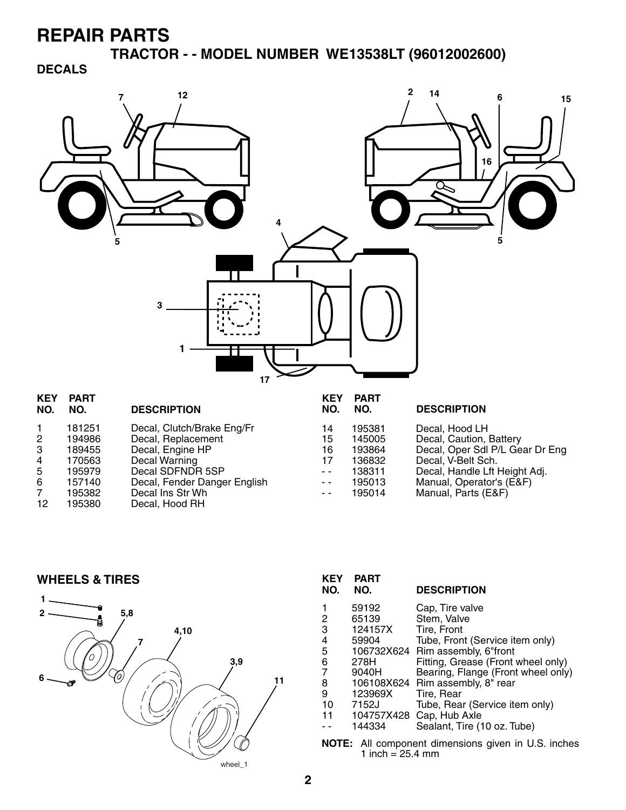**TRACTOR - - MODEL NUMBER WE13538LT (96012002600)** 

**DECALS**



| <b>KEY</b><br>NO.                                        | PARI<br>NO.                                                                  | <b>DESCRIPTION</b>                                                                                                                                                              | <b>KEY</b><br>NO.                            | PARI<br>NO.                                                        | <b>DESCRIPTION</b>                                                                                                                                                                     |
|----------------------------------------------------------|------------------------------------------------------------------------------|---------------------------------------------------------------------------------------------------------------------------------------------------------------------------------|----------------------------------------------|--------------------------------------------------------------------|----------------------------------------------------------------------------------------------------------------------------------------------------------------------------------------|
| $\mathbf{2}$<br>3<br>4<br>5<br>6<br>$\overline{7}$<br>12 | 181251<br>194986<br>189455<br>170563<br>195979<br>157140<br>195382<br>195380 | Decal, Clutch/Brake Eng/Fr<br>Decal, Replacement<br>Decal, Engine HP<br>Decal Warning<br>Decal SDFNDR 5SP<br>Decal, Fender Danger English<br>Decal Ins Str Wh<br>Decal, Hood RH | 14<br>15<br>16<br>17<br>$ -$<br>$ -$<br>$ -$ | 195381<br>145005<br>193864<br>136832<br>138311<br>195013<br>195014 | Decal, Hood LH<br>Decal, Caution, Battery<br>Decal, Oper Sdl P/L Gear Dr Eng<br>Decal, V-Belt Sch.<br>Decal, Handle Lft Height Adj.<br>Manual, Operator's (E&F)<br>Manual, Parts (E&F) |
|                                                          |                                                                              |                                                                                                                                                                                 |                                              |                                                                    |                                                                                                                                                                                        |

**WHEELS & TIRES**



| <b>KEY</b><br>NO.                            | <b>PART</b><br>NO. | <b>DESCRIPTION</b>                 |  |
|----------------------------------------------|--------------------|------------------------------------|--|
| 1                                            | 59192              | Cap, Tire valve                    |  |
|                                              | 65139              | Stem, Valve                        |  |
| $\frac{2}{3}$                                | 124157X            | Tire. Front                        |  |
| 4                                            | 59904              | Tube, Front (Service item only)    |  |
| 5                                            |                    | 106732X624 Rim assembly, 6"front   |  |
| 6                                            | 278H               | Fitting, Grease (Front wheel only) |  |
| $\overline{7}$                               | 9040H              | Bearing, Flange (Front wheel only) |  |
| 8                                            |                    | 106108X624 Rim assembly, 8" rear   |  |
| 9                                            | 123969X            | Tire. Rear                         |  |
| 10                                           | 7152J              | Tube, Rear (Service item only)     |  |
| 11                                           | 104757X428         | Cap, Hub Axle                      |  |
|                                              | 144334             | Sealant, Tire (10 oz. Tube)        |  |
| All component dimensions given in U.S. inche |                    |                                    |  |

**NOTE:** All component dimensions given in U.S. inches 1 inch =  $25.4 \, \text{mm}$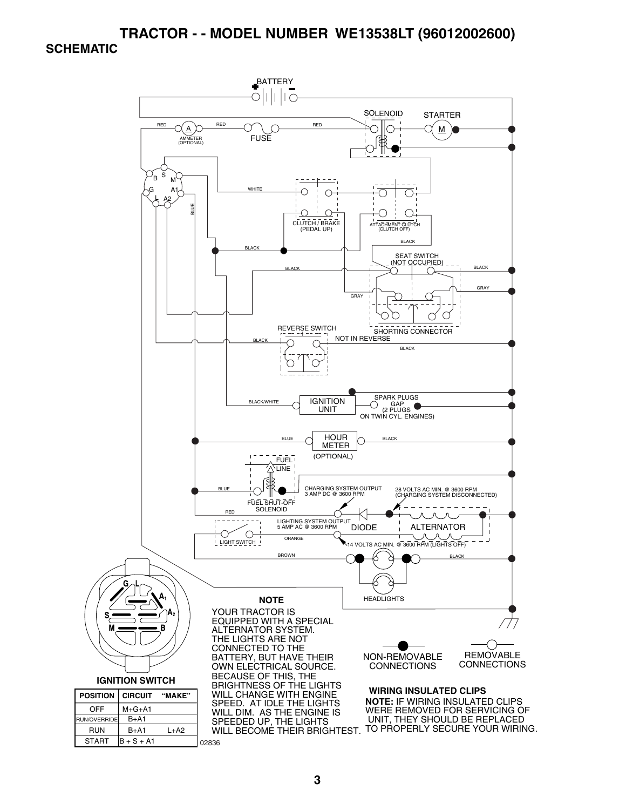#### **TRACTOR - - MODEL NUMBER WE13538LT (96012002600) SCHEMATIC**

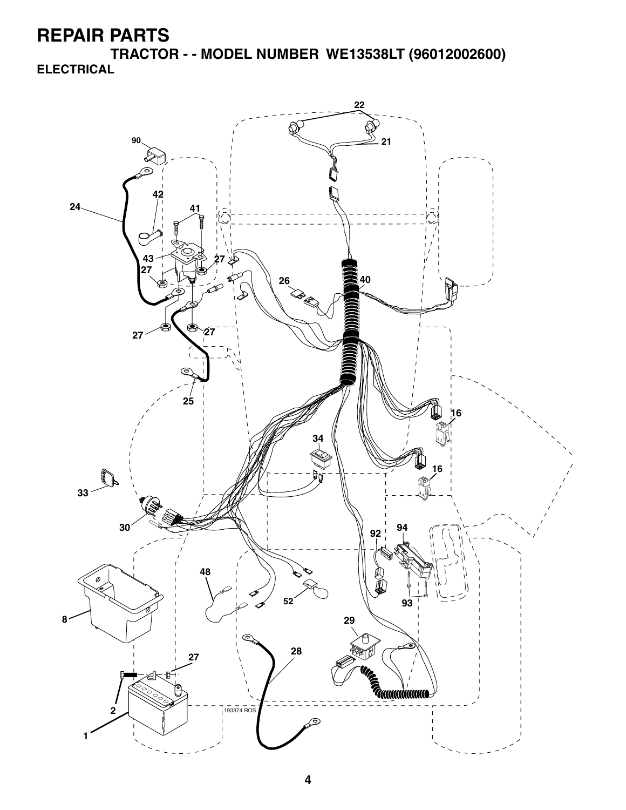**TRACTOR - - MODEL NUMBER WE13538LT (96012002600) ELECTRICAL**

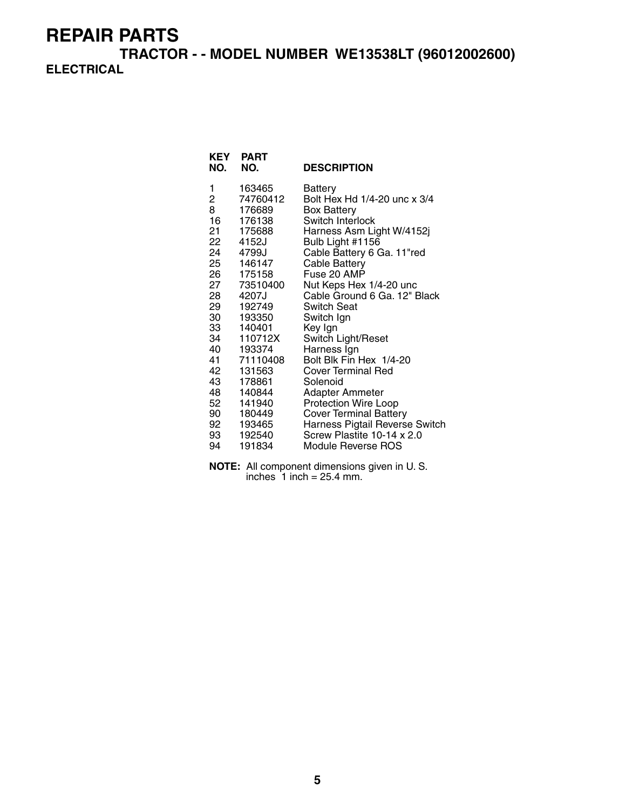**TRACTOR - - MODEL NUMBER WE13538LT (96012002600) ELECTRICAL**

| <b>KEY</b><br>NO. | <b>PART</b><br>NO. | <b>DESCRIPTION</b>                     |
|-------------------|--------------------|----------------------------------------|
| 1                 | 163465             | Battery                                |
| 2<br>8            | 74760412           | Bolt Hex Hd 1/4-20 unc x 3/4           |
| 16                | 176689<br>176138   | <b>Box Battery</b><br>Switch Interlock |
| 21                | 175688             | Harness Asm Light W/4152j              |
| 22 —              | 4152J              | Bulb Light #1156                       |
| 24                | 4799J              | Cable Battery 6 Ga. 11"red             |
| 25                | 146147             | Cable Battery                          |
| 26                | 175158             | Fuse 20 AMP                            |
| 27                | 73510400           | Nut Keps Hex 1/4-20 unc                |
| 28                | 4207J              | Cable Ground 6 Ga. 12" Black           |
| 29                | 192749             | Switch Seat                            |
| 30                | 193350             | Switch Ign                             |
| 33                | 140401             | Key Ign                                |
| 34                | 110712X            | Switch Light/Reset                     |
| 40                | 193374             | Harness Ign                            |
| 41                | 71110408           | Bolt Blk Fin Hex 1/4-20                |
| 42                | 131563             | <b>Cover Terminal Red</b>              |
| 43                | 178861             | Solenoid                               |
| 48                | 140844             | Adapter Ammeter                        |
| 52                | 141940             | <b>Protection Wire Loop</b>            |
| 90                | 180449             | <b>Cover Terminal Battery</b>          |
| 92                | 193465             | Harness Pigtail Reverse Switch         |
| 93                | 192540             | Screw Plastite 10-14 x 2.0             |
| 94                | 191834             | Module Reverse ROS                     |

**NOTE:** All component dimensions given in U. S. inches  $1$  inch = 25.4 mm.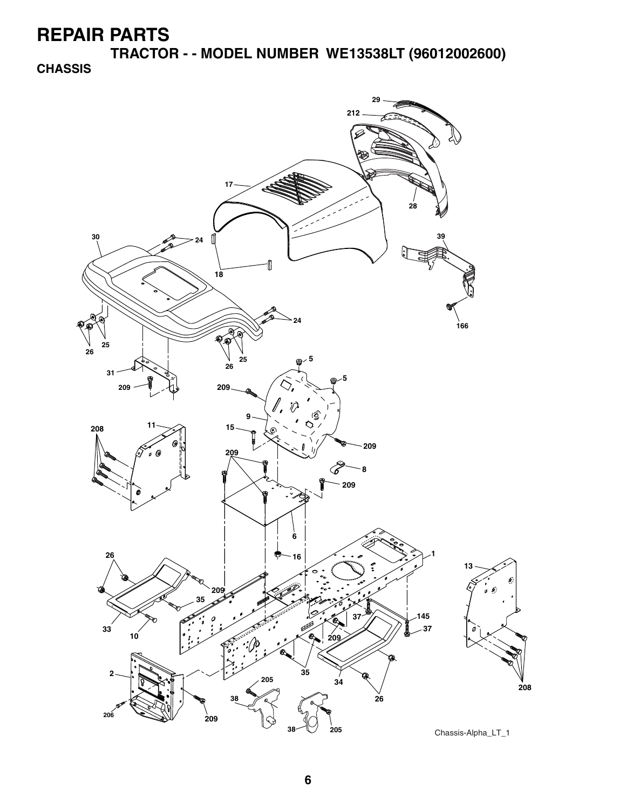**TRACTOR - - MODEL NUMBER WE13538LT (96012002600)** 

**CHASSIS**

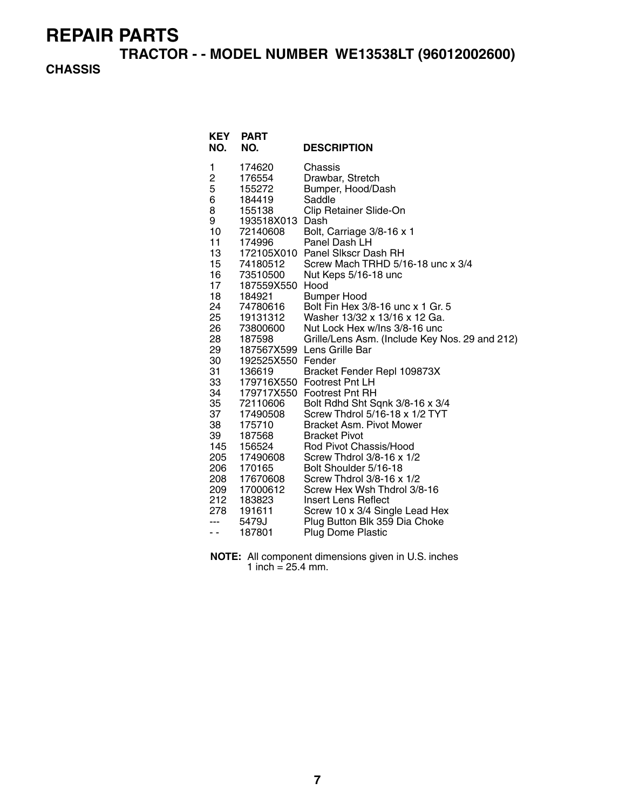**TRACTOR - - MODEL NUMBER WE13538LT (96012002600)** 

#### **CHASSIS**

| <b>KEY</b><br>NO. | <b>PART</b><br>NO.   | <b>DESCRIPTION</b>                                                 |
|-------------------|----------------------|--------------------------------------------------------------------|
| 1                 | 174620               | Chassis                                                            |
| 2                 | 176554               | Drawbar, Stretch                                                   |
| 5<br>6            | 155272               | Bumper, Hood/Dash<br>Saddle                                        |
| 8                 | 184419<br>155138     | Clip Retainer Slide-On                                             |
| 9                 | 193518X013           | Dash                                                               |
| 10                | 72140608             | Bolt, Carriage 3/8-16 x 1                                          |
| 11                | 174996               | Panel Dash LH                                                      |
| 13                |                      | 172105X010 Panel Slkscr Dash RH                                    |
| 15                | 74180512             | Screw Mach TRHD 5/16-18 unc x 3/4                                  |
| 16 —              | 73510500             | Nut Keps 5/16-18 unc                                               |
| 17                | 187559X550           | Hood                                                               |
| 18                | 184921               | <b>Bumper Hood</b>                                                 |
| 24<br>25          | 74780616<br>19131312 | Bolt Fin Hex 3/8-16 unc x 1 Gr. 5<br>Washer 13/32 x 13/16 x 12 Ga. |
| 26                | 73800600             | Nut Lock Hex w/Ins 3/8-16 unc                                      |
| 28                | 187598               | Grille/Lens Asm. (Include Key Nos. 29 and 212)                     |
| 29                |                      | 187567X599 Lens Grille Bar                                         |
| 30                | 192525X550 Fender    |                                                                    |
| 31                | 136619               | Bracket Fender Repl 109873X                                        |
| 33                |                      | 179716X550 Footrest Pnt LH                                         |
| 34                |                      | 179717X550 Footrest Pnt RH                                         |
| 35                | 72110606             | Bolt Rdhd Sht Sqnk 3/8-16 x 3/4                                    |
| 37<br>38          | 17490508<br>175710   | Screw Thdrol 5/16-18 x 1/2 TYT<br><b>Bracket Asm. Pivot Mower</b>  |
| 39                | 187568               | <b>Bracket Pivot</b>                                               |
| 145               | 156524               | Rod Pivot Chassis/Hood                                             |
| 205               | 17490608             | Screw Thdrol 3/8-16 x 1/2                                          |
| 206               | 170165               | Bolt Shoulder 5/16-18                                              |
| 208               | 17670608             | Screw Thdrol 3/8-16 x 1/2                                          |
| 209               | 17000612             | Screw Hex Wsh Thdrol 3/8-16                                        |
| 212               | 183823               | Insert Lens Reflect                                                |
| 278               | 191611               | Screw 10 x 3/4 Single Lead Hex                                     |
| ---               | 5479J                | Plug Button Blk 359 Dia Choke                                      |
| - -               | 187801               | <b>Plug Dome Plastic</b>                                           |

**NOTE:** All component dimensions given in U.S. inches 1 inch =  $25.4$  mm.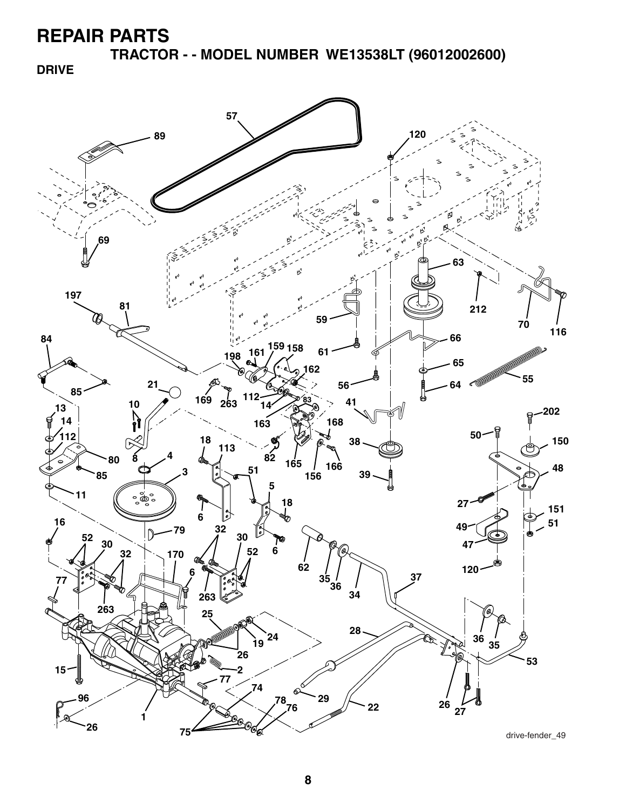**TRACTOR - - MODEL NUMBER WE13538LT (96012002600)** 

**DRIVE**



drive-fender\_49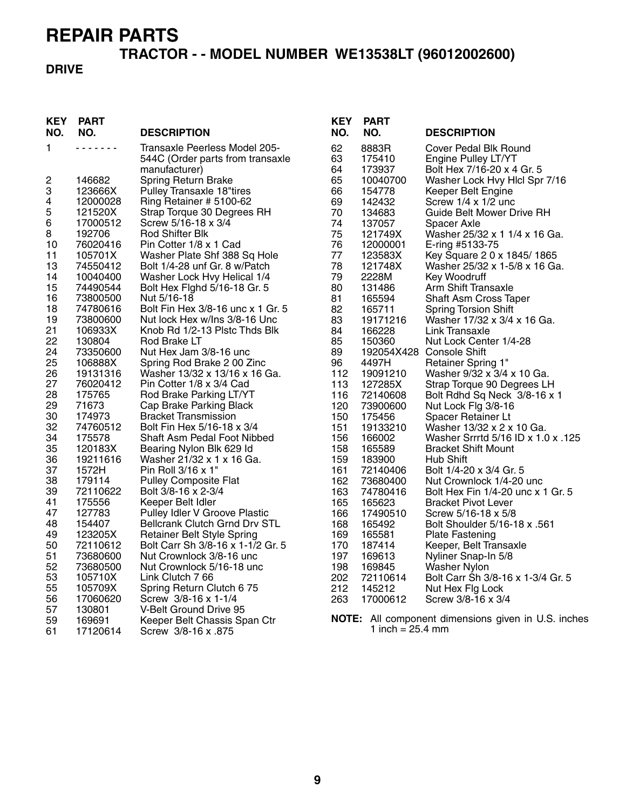# **TRACTOR - - MODEL NUMBER WE13538LT (96012002600)**

#### **DRIVE**

| <b>KEY</b><br>NO. | <b>PART</b><br>NO.  | <b>DESCRIPTION</b>                                            | <b>KEY</b><br>NO. | <b>PART</b><br>NO.         | <b>DESCRIPTION</b>                                            |
|-------------------|---------------------|---------------------------------------------------------------|-------------------|----------------------------|---------------------------------------------------------------|
| 1                 | .                   | Transaxle Peerless Model 205-                                 | 62                | 8883R                      | Cover Pedal Blk Round                                         |
|                   |                     | 544C (Order parts from transaxle                              | 63                | 175410                     | Engine Pulley LT/YT                                           |
|                   |                     | manufacturer)                                                 | 64                | 173937                     | Bolt Hex 7/16-20 x 4 Gr. 5                                    |
| 2                 | 146682              | Spring Return Brake                                           | 65                | 10040700                   | Washer Lock Hvy Hlcl Spr 7/16                                 |
| 3                 | 123666X             | Pulley Transaxle 18"tires                                     | 66                | 154778                     | Keeper Belt Engine                                            |
| 4                 | 12000028            | Ring Retainer # 5100-62                                       | 69                | 142432                     | Screw 1/4 x 1/2 unc                                           |
| 5                 | 121520X             | Strap Torque 30 Degrees RH                                    | 70                | 134683                     | Guide Belt Mower Drive RH                                     |
| 6                 | 17000512            | Screw 5/16-18 x 3/4                                           | 74                | 137057                     | Spacer Axle                                                   |
| 8                 | 192706              | Rod Shifter Blk                                               | 75                | 121749X                    | Washer 25/32 x 1 1/4 x 16 Ga.                                 |
| 10                | 76020416<br>105701X | Pin Cotter 1/8 x 1 Cad                                        | 76<br>77          | 12000001                   | E-ring #5133-75                                               |
| 11<br>13          | 74550412            | Washer Plate Shf 388 Sq Hole<br>Bolt 1/4-28 unf Gr. 8 w/Patch | 78                | 123583X                    | Key Square 2 0 x 1845/1865<br>Washer 25/32 x 1-5/8 x 16 Ga.   |
| 14                | 10040400            | Washer Lock Hvy Helical 1/4                                   | 79                | 121748X<br>2228M           | Key Woodruff                                                  |
| 15                | 74490544            | Bolt Hex Fighd 5/16-18 Gr. 5                                  | 80                | 131486                     | Arm Shift Transaxle                                           |
| 16                | 73800500            | Nut 5/16-18                                                   | 81                | 165594                     | <b>Shaft Asm Cross Taper</b>                                  |
| 18                | 74780616            | Bolt Fin Hex 3/8-16 unc x 1 Gr. 5                             | 82                | 165711                     | <b>Spring Torsion Shift</b>                                   |
| 19                | 73800600            | Nut lock Hex w/Ins 3/8-16 Unc                                 | 83                | 19171216                   | Washer 17/32 x 3/4 x 16 Ga.                                   |
| 21                | 106933X             | Knob Rd 1/2-13 Plstc Thds Blk                                 | 84                | 166228                     | Link Transaxle                                                |
| 22                | 130804              | Rod Brake LT                                                  | 85                | 150360                     | Nut Lock Center 1/4-28                                        |
| 24                | 73350600            | Nut Hex Jam 3/8-16 unc                                        | 89                |                            | 192054X428 Console Shift                                      |
| 25                | 106888X             | Spring Rod Brake 2 00 Zinc                                    | 96                | 4497H                      | <b>Retainer Spring 1"</b>                                     |
| 26                | 19131316            | Washer 13/32 x 13/16 x 16 Ga.                                 | 112               | 19091210                   | Washer 9/32 x 3/4 x 10 Ga.                                    |
| 27                | 76020412            | Pin Cotter 1/8 x 3/4 Cad                                      | 113               | 127285X                    | Strap Torque 90 Degrees LH                                    |
| 28                | 175765              | Rod Brake Parking LT/YT                                       | 116               | 72140608                   | Bolt Rdhd Sq Neck 3/8-16 x 1                                  |
| 29                | 71673               | Cap Brake Parking Black                                       | 120               | 73900600                   | Nut Lock Flg 3/8-16                                           |
| 30                | 174973              | <b>Bracket Transmission</b>                                   | 150               | 175456                     | Spacer Retainer Lt                                            |
| 32                | 74760512            | Bolt Fin Hex 5/16-18 x 3/4                                    | 151               | 19133210                   | Washer 13/32 x 2 x 10 Ga.                                     |
| 34                | 175578              | Shaft Asm Pedal Foot Nibbed                                   | 156               | 166002                     | Washer Srrrtd 5/16 ID x 1.0 x .125                            |
| 35                | 120183X             | Bearing Nylon Blk 629 ld                                      | 158               | 165589                     | <b>Bracket Shift Mount</b>                                    |
| 36<br>37          | 19211616<br>1572H   | Washer 21/32 x 1 x 16 Ga.<br>Pin Roll 3/16 x 1"               | 159               | 183900                     | Hub Shift                                                     |
| 38                | 179114              | <b>Pulley Composite Flat</b>                                  | 161<br>162        | 72140406                   | Bolt 1/4-20 x 3/4 Gr. 5                                       |
| 39                | 72110622            | Bolt 3/8-16 x 2-3/4                                           | 163               | 73680400<br>74780416       | Nut Crownlock 1/4-20 unc<br>Bolt Hex Fin 1/4-20 unc x 1 Gr. 5 |
| 41                | 175556              | Keeper Belt Idler                                             | 165               | 165623                     | <b>Bracket Pivot Lever</b>                                    |
| 47                | 127783              | Pulley Idler V Groove Plastic                                 | 166               | 17490510                   | Screw 5/16-18 x 5/8                                           |
| 48                | 154407              | <b>Bellcrank Clutch Grnd Drv STL</b>                          | 168               | 165492                     | Bolt Shoulder 5/16-18 x .561                                  |
| 49                | 123205X             | <b>Retainer Belt Style Spring</b>                             | 169               | 165581                     | <b>Plate Fastening</b>                                        |
| 50                | 72110612            | Bolt Carr Sh 3/8-16 x 1-1/2 Gr. 5                             | 170               | 187414                     | Keeper, Belt Transaxle                                        |
| 51                | 73680600            | Nut Crownlock 3/8-16 unc                                      | 197               | 169613                     | Nyliner Snap-In 5/8                                           |
| 52                | 73680500            | Nut Crownlock 5/16-18 unc                                     | 198               | 169845                     | Washer Nylon                                                  |
| 53                | 105710X             | Link Clutch 7 66                                              | 202               | 72110614                   | Bolt Carr Sh 3/8-16 x 1-3/4 Gr. 5                             |
| 55                | 105709X             | Spring Return Clutch 675                                      | 212               | 145212                     | Nut Hex Flg Lock                                              |
| 56                | 17060620            | Screw 3/8-16 x 1-1/4                                          | 263               | 17000612                   | Screw 3/8-16 x 3/4                                            |
| 57                | 130801              | V-Belt Ground Drive 95                                        |                   |                            |                                                               |
| 59                | 169691              | Keeper Belt Chassis Span Ctr                                  |                   |                            | <b>NOTE:</b> All component dimensions given in U.S. inches    |
| 61                | 17120614            | Screw 3/8-16 x .875                                           |                   | 1 inch = $25.4 \text{ mm}$ |                                                               |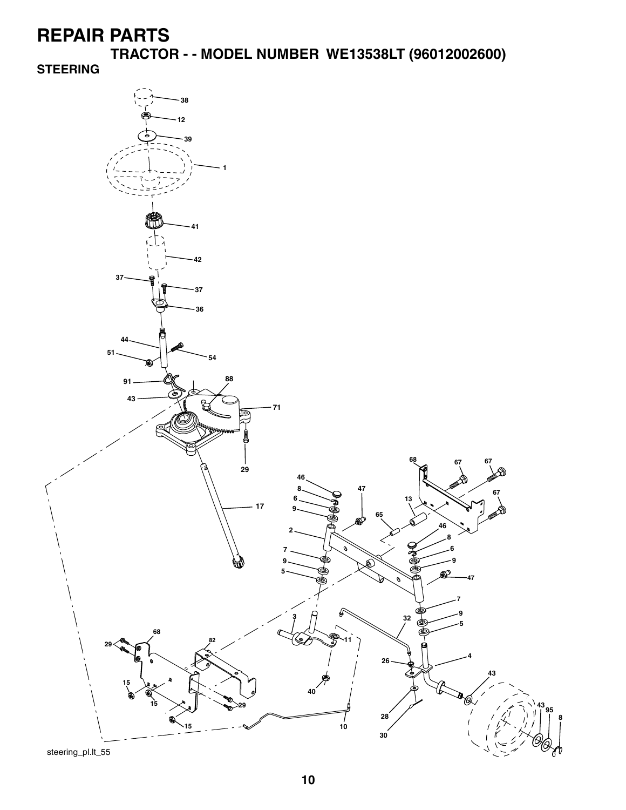**TRACTOR - - MODEL NUMBER WE13538LT (96012002600)** 

**STEERING**



steering\_pl.lt\_55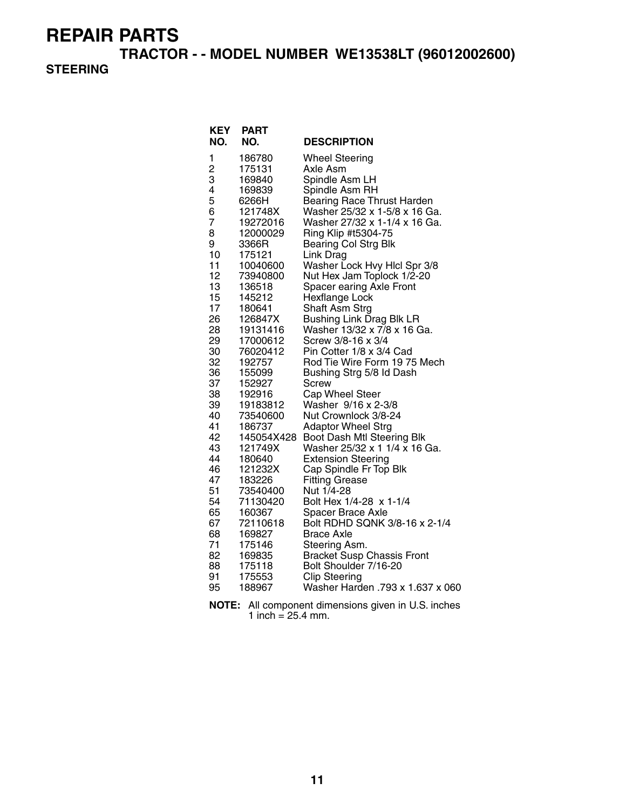**TRACTOR - - MODEL NUMBER WE13538LT (96012002600)** 

#### **STEERING**

| KEY                                                           | <b>PART</b>      |                                          |  |
|---------------------------------------------------------------|------------------|------------------------------------------|--|
| NO.                                                           | NO.              | <b>DESCRIPTION</b>                       |  |
| 1                                                             | 186780           | <b>Wheel Steering</b>                    |  |
| $\overline{2}$                                                | 175131           | Axle Asm                                 |  |
| 3                                                             | 169840           | Spindle Asm LH                           |  |
| 4                                                             | 169839           | Spindle Asm RH                           |  |
| 5                                                             | 6266H            | <b>Bearing Race Thrust Harden</b>        |  |
| 6                                                             | 121748X          | Washer 25/32 x 1-5/8 x 16 Ga.            |  |
| $\overline{7}$                                                | 19272016         | Washer 27/32 x 1-1/4 x 16 Ga.            |  |
| 8                                                             | 12000029         | Ring Klip #t5304-75                      |  |
| 9                                                             | 3366R            | <b>Bearing Col Strg Blk</b>              |  |
| 10                                                            | 175121           | Link Drag                                |  |
| 11                                                            | 10040600         | Washer Lock Hvy Hlcl Spr 3/8             |  |
| 12                                                            | 73940800         | Nut Hex Jam Toplock 1/2-20               |  |
| 13                                                            | 136518           | Spacer earing Axle Front                 |  |
| 15                                                            | 145212           | Hexflange Lock                           |  |
| 17                                                            | 180641           | Shaft Asm Strg                           |  |
| 26                                                            | 126847X          | <b>Bushing Link Drag Blk LR</b>          |  |
| 28                                                            | 19131416         | Washer 13/32 x 7/8 x 16 Ga.              |  |
| 29                                                            | 17000612         | Screw 3/8-16 x 3/4                       |  |
| 30                                                            | 76020412         | Pin Cotter 1/8 x 3/4 Cad                 |  |
| 32                                                            | 192757           | Rod Tie Wire Form 1975 Mech              |  |
| 36<br>37                                                      | 155099           | Bushing Strg 5/8 Id Dash<br><b>Screw</b> |  |
| 38                                                            | 152927<br>192916 | Cap Wheel Steer                          |  |
| 39                                                            | 19183812         | Washer 9/16 x 2-3/8                      |  |
| 40                                                            | 73540600         | Nut Crownlock 3/8-24                     |  |
| 41                                                            | 186737           | <b>Adaptor Wheel Strg</b>                |  |
| 42                                                            | 145054X428       | Boot Dash Mtl Steering Blk               |  |
| 43                                                            | 121749X          | Washer 25/32 x 1 1/4 x 16 Ga.            |  |
| 44                                                            | 180640           | <b>Extension Steering</b>                |  |
| 46                                                            | 121232X          | Cap Spindle Fr Top Blk                   |  |
| 47                                                            | 183226           | <b>Fitting Grease</b>                    |  |
| 51                                                            | 73540400         | Nut 1/4-28                               |  |
| 54                                                            | 71130420         | Bolt Hex 1/4-28 x 1-1/4                  |  |
| 65                                                            | 160367           | <b>Spacer Brace Axle</b>                 |  |
| 67                                                            | 72110618         | Bolt RDHD SQNK 3/8-16 x 2-1/4            |  |
| 68                                                            | 169827           | <b>Brace Axle</b>                        |  |
| 71                                                            | 175146           | Steering Asm.                            |  |
| 82                                                            | 169835           | <b>Bracket Susp Chassis Front</b>        |  |
| 88                                                            | 175118           | Bolt Shoulder 7/16-20                    |  |
| 91                                                            | 175553           | <b>Clip Steering</b>                     |  |
| 95                                                            | 188967           | Washer Harden .793 x 1.637 x 060         |  |
| <b>NOTE:</b><br>All component dimensions given in U.S. inches |                  |                                          |  |

1 inch =  $25.4$  mm.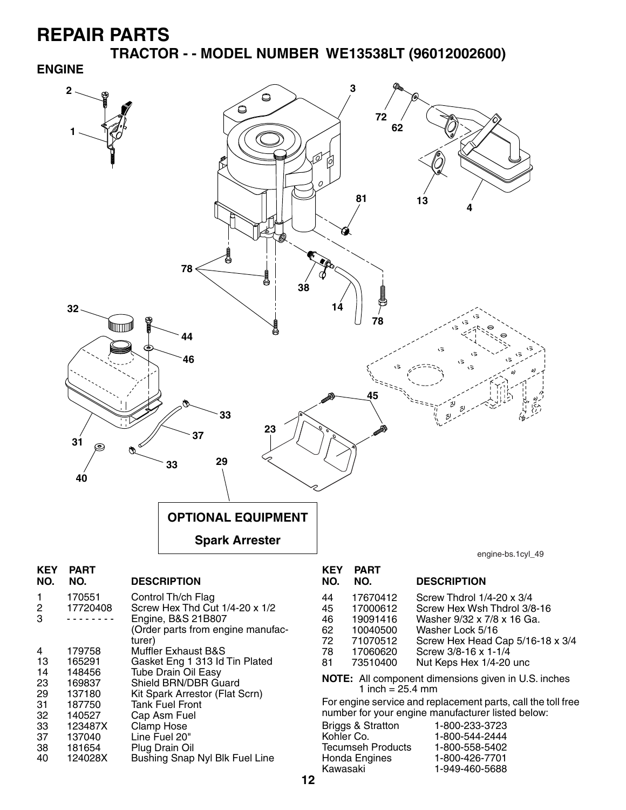38 181654 Plug Drain Oil

Bushing Snap Nyl Blk Fuel Line

**TRACTOR - - MODEL NUMBER WE13538LT (96012002600) ENGINE**



| Briggs & Stratton | 1-800-233-3723 |
|-------------------|----------------|
| Kohler Co.        | 1-800-544-2444 |
| Tecumseh Products | 1-800-558-5402 |
| Honda Engines     | 1-800-426-7701 |
| Kawasaki          | 1-949-460-5688 |
|                   |                |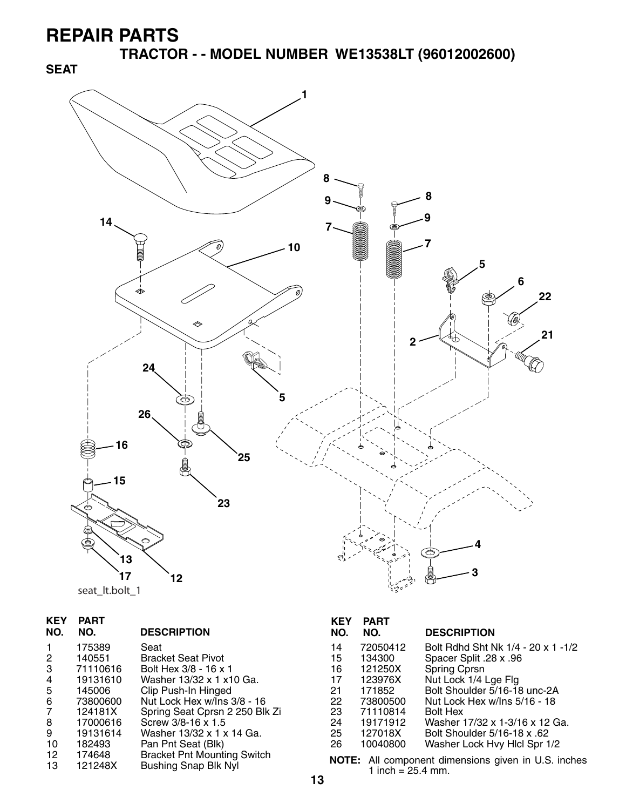**TRACTOR - - MODEL NUMBER WE13538LT (96012002600)** 



|  | seat It.bolt 1 |
|--|----------------|
|--|----------------|

| <b>KEY</b><br>NO. | PART<br>NO. | <b>DESCRIPTION</b>                 |
|-------------------|-------------|------------------------------------|
| 1                 | 175389      | Seat                               |
| 2                 | 140551      | <b>Bracket Seat Pivot</b>          |
| 3                 | 71110616    | Bolt Hex 3/8 - 16 x 1              |
| 4                 | 19131610    | Washer 13/32 x 1 x 10 Ga.          |
| 5                 | 145006      | Clip Push-In Hinged                |
| 6                 | 73800600    | Nut Lock Hex w/Ins 3/8 - 16        |
| $\overline{7}$    | 124181X     | Spring Seat Cprsn 2 250 Blk Zi     |
| 8                 | 17000616    | Screw 3/8-16 x 1.5                 |
| 9                 | 19131614    | Washer 13/32 x 1 x 14 Ga.          |
| 10                | 182493      | Pan Pnt Seat (Blk)                 |
| 12                | 174648      | <b>Bracket Pnt Mounting Switch</b> |
| 13                | 121248X     | <b>Bushing Snap Blk Nyl</b>        |

#### **KEY PART DESCRIPTION** 14 72050412 Bolt Rdhd Sht Nk 1/4 - 20 x 1 -1/2 15 134300 Spacer Split .28 x .96 16 121250X Spring Cprsn

| 17  | 123976X  | Nut Lock 1/4 Lge Flg           |
|-----|----------|--------------------------------|
| 21  | 171852   | Bolt Shoulder 5/16-18 unc-2A   |
| 22. | 73800500 | Nut Lock Hex w/Ins 5/16 - 18   |
| 23  | 71110814 | <b>Bolt Hex</b>                |
| 24  | 19171912 | Washer 17/32 x 1-3/16 x 12 Ga. |
| 25  | 127018X  | Bolt Shoulder 5/16-18 x .62    |
| 26  | 10040800 | Washer Lock Hvy Hicl Spr 1/2   |
|     |          |                                |

**NOTE:** All component dimensions given in U.S. inches 1 inch =  $25.4$  mm.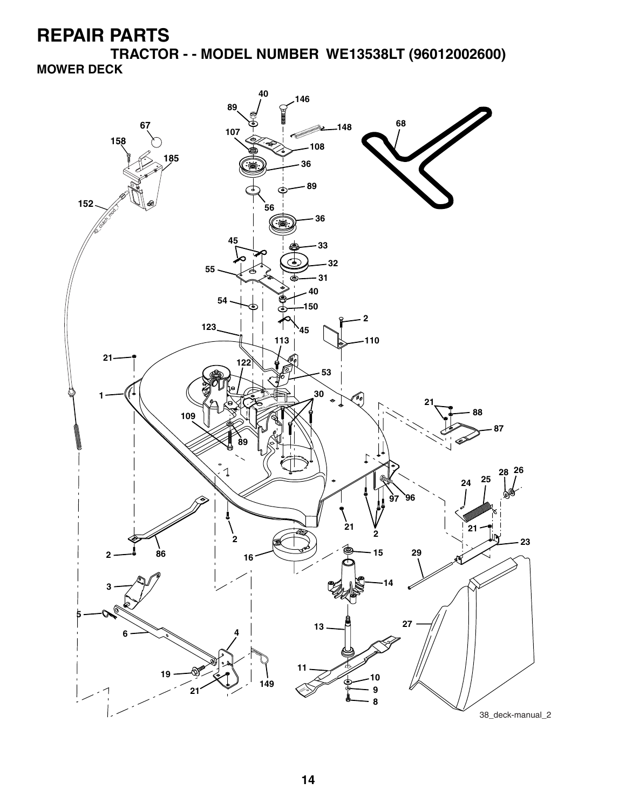**TRACTOR - - MODEL NUMBER WE13538LT (96012002600) MOWER DECK**

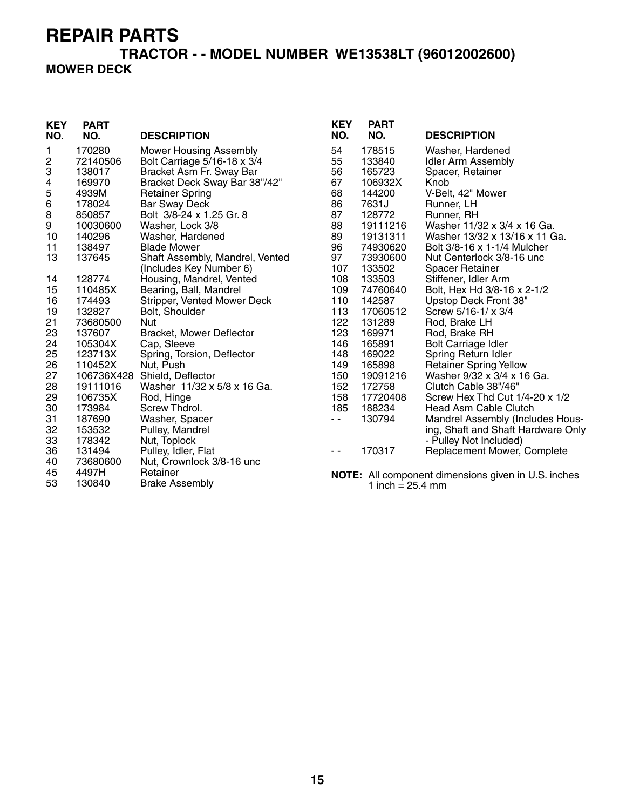# **TRACTOR - - MODEL NUMBER WE13538LT (96012002600)**

#### **MOWER DECK**

| <b>KEY</b><br>NO. | <b>PART</b><br>NO. | <b>DESCRIPTION</b>              | <b>KEY</b><br>NO. | <b>PART</b><br>NO.         | <b>DESCRIPTION</b>                                         |
|-------------------|--------------------|---------------------------------|-------------------|----------------------------|------------------------------------------------------------|
| 1                 | 170280             | <b>Mower Housing Assembly</b>   | 54                | 178515                     | Washer, Hardened                                           |
| 2                 | 72140506           | Bolt Carriage 5/16-18 x 3/4     | 55                | 133840                     | <b>Idler Arm Assembly</b>                                  |
| 3                 | 138017             | Bracket Asm Fr. Sway Bar        | 56                | 165723                     | Spacer, Retainer                                           |
| 4                 | 169970             | Bracket Deck Sway Bar 38"/42"   | 67                | 106932X                    | Knob                                                       |
| 5                 | 4939M              | <b>Retainer Spring</b>          | 68                | 144200                     | V-Belt, 42" Mower                                          |
| 6                 | 178024             | <b>Bar Sway Deck</b>            | 86                | 7631J                      | Runner, LH                                                 |
| 8                 | 850857             | Bolt 3/8-24 x 1.25 Gr. 8        | 87                | 128772                     | Runner, RH                                                 |
| 9                 | 10030600           | Washer, Lock 3/8                | 88                | 19111216                   | Washer 11/32 x 3/4 x 16 Ga.                                |
| 10                | 140296             | Washer, Hardened                | 89                | 19131311                   | Washer 13/32 x 13/16 x 11 Ga.                              |
| 11                | 138497             | <b>Blade Mower</b>              | 96                | 74930620                   | Bolt 3/8-16 x 1-1/4 Mulcher                                |
| 13                | 137645             | Shaft Assembly, Mandrel, Vented | 97                | 73930600                   | Nut Centerlock 3/8-16 unc                                  |
|                   |                    | (Includes Key Number 6)         | 107               | 133502                     | <b>Spacer Retainer</b>                                     |
| 14                | 128774             | Housing, Mandrel, Vented        | 108               | 133503                     | Stiffener, Idler Arm                                       |
| 15                | 110485X            | Bearing, Ball, Mandrel          | 109               | 74760640                   | Bolt, Hex Hd 3/8-16 x 2-1/2                                |
| 16                | 174493             | Stripper, Vented Mower Deck     | 110               | 142587                     | Upstop Deck Front 38"                                      |
| 19                | 132827             | Bolt, Shoulder                  | 113               | 17060512                   | Screw 5/16-1/ x 3/4                                        |
| 21                | 73680500           | Nut                             | 122               | 131289                     | Rod, Brake LH                                              |
| 23                | 137607             | Bracket, Mower Deflector        | 123               | 169971                     | Rod, Brake RH                                              |
| 24                | 105304X            | Cap, Sleeve                     | 146               | 165891                     | <b>Bolt Carriage Idler</b>                                 |
| 25                | 123713X            | Spring, Torsion, Deflector      | 148               | 169022                     | Spring Return Idler                                        |
| 26                | 110452X            | Nut, Push                       | 149               | 165898                     | <b>Retainer Spring Yellow</b>                              |
| 27                | 106736X428         | Shield, Deflector               | 150               | 19091216                   | Washer 9/32 x 3/4 x 16 Ga.                                 |
| 28                | 19111016           | Washer 11/32 x 5/8 x 16 Ga.     | 152               | 172758                     | Clutch Cable 38"/46"                                       |
| 29                | 106735X            | Rod, Hinge                      | 158               | 17720408                   | Screw Hex Thd Cut 1/4-20 x 1/2                             |
| 30                | 173984             | Screw Thdrol.                   | 185               | 188234                     | <b>Head Asm Cable Clutch</b>                               |
| 31                | 187690             | Washer, Spacer                  | $\sim$ $\sim$     | 130794                     | Mandrel Assembly (Includes Hous-                           |
| 32                | 153532             | Pulley, Mandrel                 |                   |                            | ing, Shaft and Shaft Hardware Only                         |
| 33                | 178342             | Nut, Toplock                    |                   |                            | - Pulley Not Included)                                     |
| 36                | 131494             | Pulley, Idler, Flat             | $ -$              | 170317                     | Replacement Mower, Complete                                |
| 40                | 73680600           | Nut, Crownlock 3/8-16 unc       |                   |                            |                                                            |
| 45                | 4497H              | Retainer                        |                   |                            | <b>NOTE:</b> All component dimensions given in U.S. inches |
| 53                | 130840             | <b>Brake Assembly</b>           |                   | 1 inch = $25.4 \text{ mm}$ |                                                            |